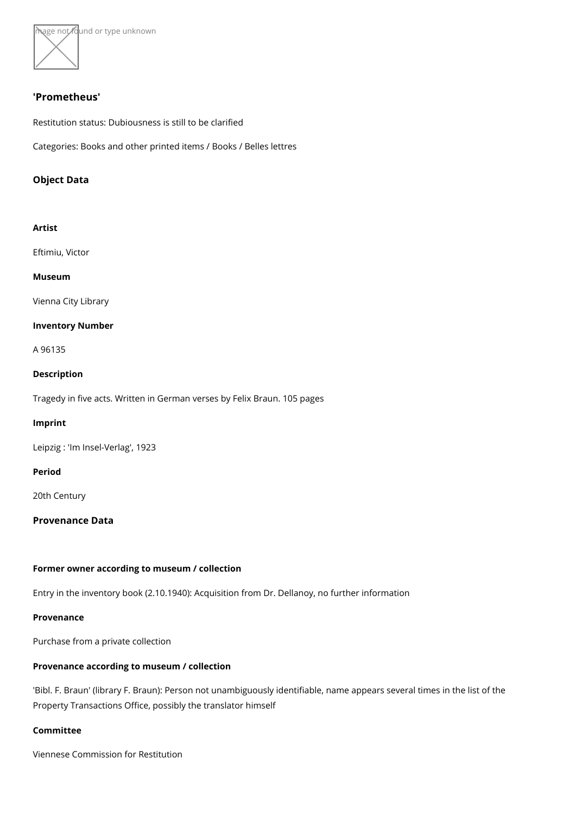

#### 'Prometheus'

Restitution status: Dubiousness is still to be clarified

Categories: Books and other printed items / Books / Belles lettres

Object Data

Artist

[Eftimiu, V](https://www.kunstdatenbank.at/search-for-objects/artist/eftimiu  victor)ictor Museum [Vienna City](https://www.kunstdatenbank.at//detail-view-museum/vienna-city-library.html) Library Inventory Number A 96135 Description Tragedy in five acts. Written in German verses by Felix Braun. 105 pages Imprint Leipzig : 'Im Insel-Verlag', 1923 Period 20th Century Provenance Data Former owner according to museum / collection Entry in the inventory book (2.10.1940): Acquisition from Dr. Dellanoy, no further infor Provenance Purchase from a private collection Provenance according to museum / collection 'Bibl. F. Braun' (library F. Braun): Person not unambiguously identifiable, name appear Property Transactions Office, possibly the translator himself Committee

Viennese Commission for Restitution